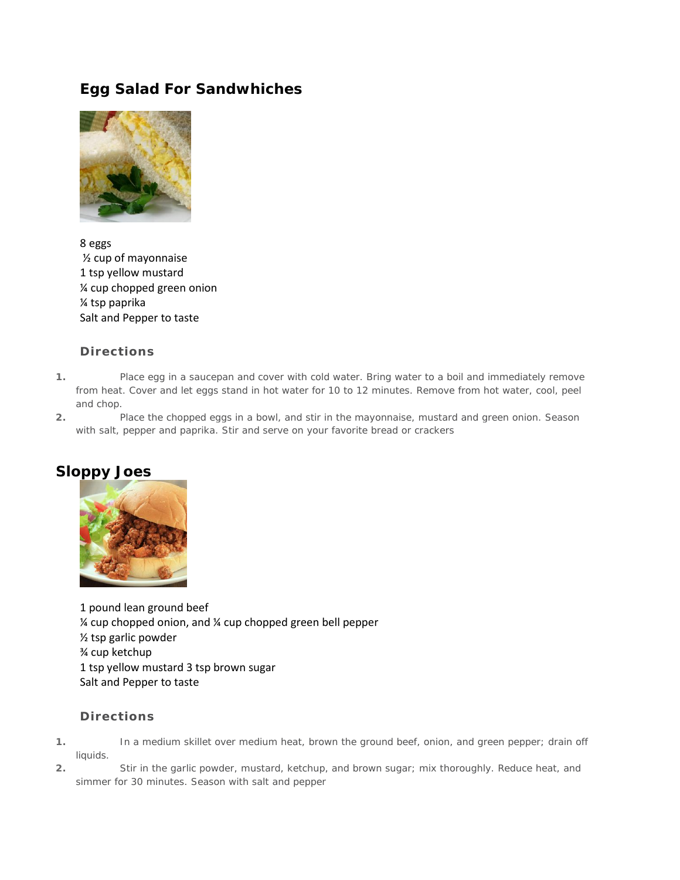# **Egg Salad For Sandwhiches**



8 eggs ½ cup of mayonnaise 1 tsp yellow mustard ¼ cup chopped green onion ¼ tsp paprika Salt and Pepper to taste

## **Directions**

- **1.** Place egg in a saucepan and cover with cold water. Bring water to a boil and immediately remove from heat. Cover and let eggs stand in hot water for 10 to 12 minutes. Remove from hot water, cool, peel and chop.
- **2.** Place the chopped eggs in a bowl, and stir in the mayonnaise, mustard and green onion. Season with salt, pepper and paprika. Stir and serve on your favorite bread or crackers

# **Sloppy Joes**



1 pound lean ground beef ¼ cup chopped onion, and ¼ cup chopped green bell pepper ½ tsp garlic powder ¾ cup ketchup 1 tsp yellow mustard 3 tsp brown sugar Salt and Pepper to taste

- **1.** In a medium skillet over medium heat, brown the ground beef, onion, and green pepper; drain off liquids.
- **2.** Stir in the garlic powder, mustard, ketchup, and brown sugar; mix thoroughly. Reduce heat, and simmer for 30 minutes. Season with salt and pepper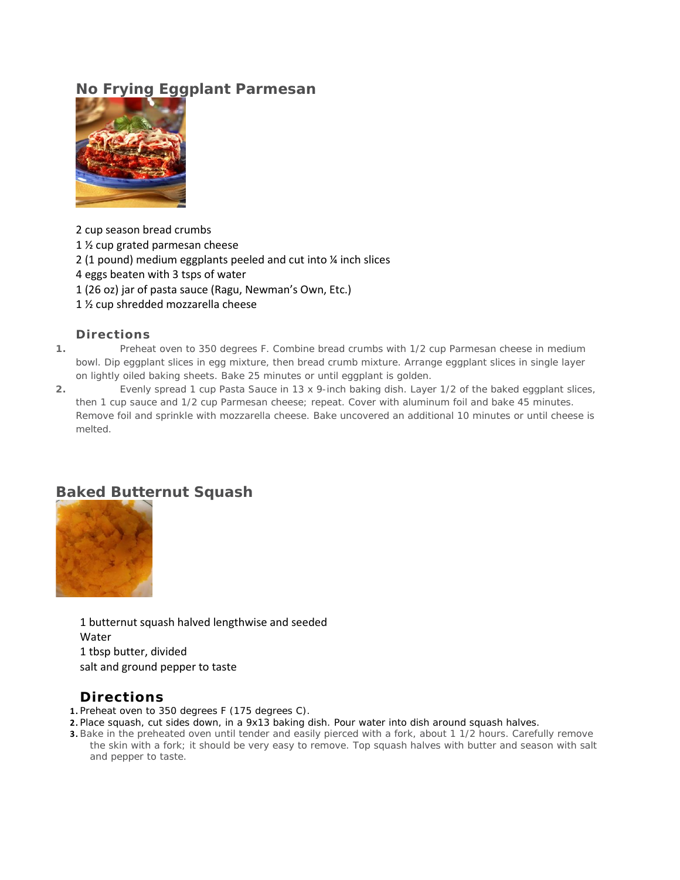# **No Frying Eggplant Parmesan**



2 cup season bread crumbs

1 ½ cup grated parmesan cheese

2 (1 pound) medium eggplants peeled and cut into ¼ inch slices

4 eggs beaten with 3 tsps of water

1 (26 oz) jar of pasta sauce (Ragu, Newman's Own, Etc.)

1 ½ cup shredded mozzarella cheese

### **Directions**

- **1.** Preheat oven to 350 degrees F. Combine bread crumbs with 1/2 cup Parmesan cheese in medium bowl. Dip eggplant slices in egg mixture, then bread crumb mixture. Arrange eggplant slices in single layer on lightly oiled baking sheets. Bake 25 minutes or until eggplant is golden.
- **2.** Evenly spread 1 cup Pasta Sauce in 13 x 9-inch baking dish. Layer 1/2 of the baked eggplant slices, then 1 cup sauce and 1/2 cup Parmesan cheese; repeat. Cover with aluminum foil and bake 45 minutes. Remove foil and sprinkle with mozzarella cheese. Bake uncovered an additional 10 minutes or until cheese is melted.

# **Baked Butternut Squash**



1 butternut squash halved lengthwise and seeded Water 1 tbsp butter, divided salt and ground pepper to taste

# **Directions**

**1.** Preheat oven to 350 degrees F (175 degrees C).

- **2.** Place squash, cut sides down, in a 9x13 baking dish. Pour water into dish around squash halves.
- **3.** Bake in the preheated oven until tender and easily pierced with a fork, about 1 1/2 hours. Carefully remove the skin with a fork; it should be very easy to remove. Top squash halves with butter and season with salt and pepper to taste.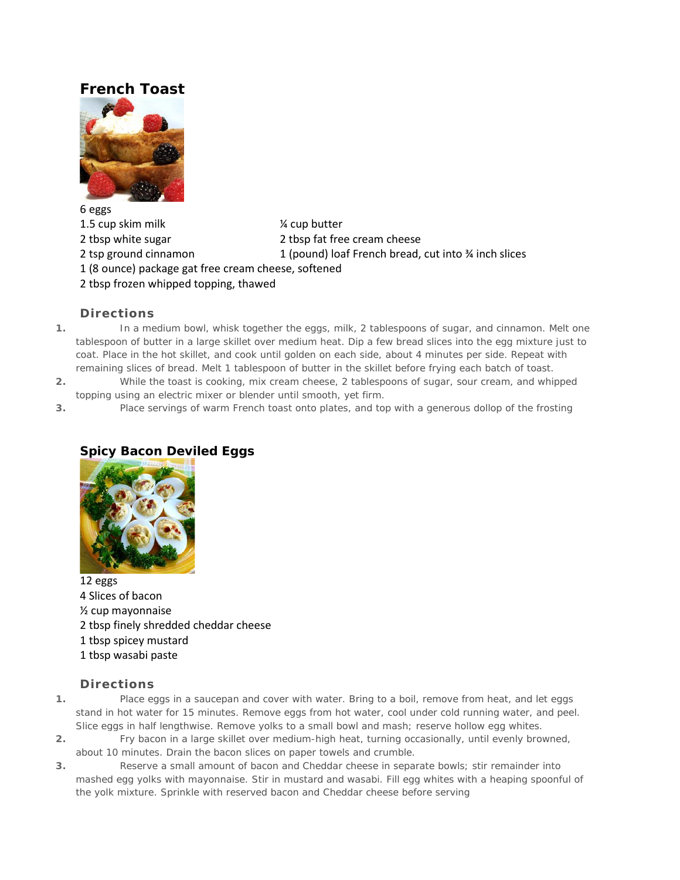# **French Toast**



6 eggs 1.5 cup skim milk  $\frac{1}{2}$  cup butter 2 tbsp white sugar 2 tbsp fat free cream cheese 2 tsp ground cinnamon 1 (pound) loaf French bread, cut into ¾ inch slices 1 (8 ounce) package gat free cream cheese, softened 2 tbsp frozen whipped topping, thawed

### **Directions**

- **1.** In a medium bowl, whisk together the eggs, milk, 2 tablespoons of sugar, and cinnamon. Melt one tablespoon of butter in a large skillet over medium heat. Dip a few bread slices into the egg mixture just to coat. Place in the hot skillet, and cook until golden on each side, about 4 minutes per side. Repeat with remaining slices of bread. Melt 1 tablespoon of butter in the skillet before frying each batch of toast.
- **2.** While the toast is cooking, mix cream cheese, 2 tablespoons of sugar, sour cream, and whipped topping using an electric mixer or blender until smooth, yet firm.
- **3.** Place servings of warm French toast onto plates, and top with a generous dollop of the frosting

# **Spicy Bacon Deviled Eggs**



12 eggs 4 Slices of bacon ½ cup mayonnaise 2 tbsp finely shredded cheddar cheese 1 tbsp spicey mustard 1 tbsp wasabi paste

- **1.** Place eggs in a saucepan and cover with water. Bring to a boil, remove from heat, and let eggs stand in hot water for 15 minutes. Remove eggs from hot water, cool under cold running water, and peel. Slice eggs in half lengthwise. Remove yolks to a small bowl and mash; reserve hollow egg whites.
- **2.** Fry bacon in a large skillet over medium-high heat, turning occasionally, until evenly browned, about 10 minutes. Drain the bacon slices on paper towels and crumble.
- **3.** Reserve a small amount of bacon and Cheddar cheese in separate bowls; stir remainder into mashed egg yolks with mayonnaise. Stir in mustard and wasabi. Fill egg whites with a heaping spoonful of the yolk mixture. Sprinkle with reserved bacon and Cheddar cheese before serving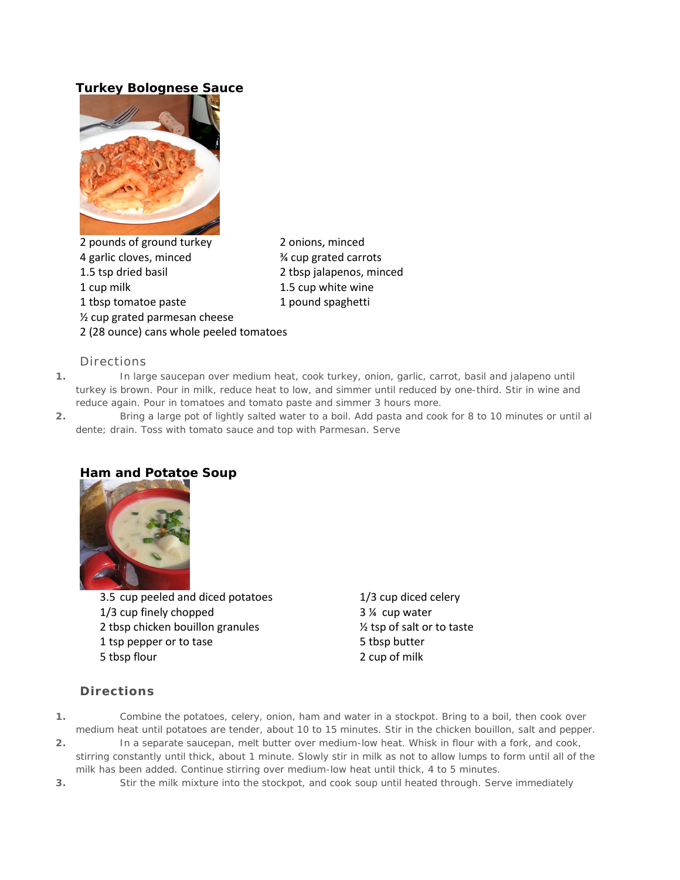# **Turkey Bolognese Sauce**



2 pounds of ground turkey 2 onions, minced 4 garlic cloves, minced <br> **Example 3** 4 cup grated carrots 1.5 tsp dried basil 2 tbsp jalapenos, minced 1 cup milk 1.5 cup white wine 1 tbsp tomatoe paste 1 pound spaghetti ½ cup grated parmesan cheese 2 (28 ounce) cans whole peeled tomatoes

### Directions

- **1.** In large saucepan over medium heat, cook turkey, onion, garlic, carrot, basil and jalapeno until turkey is brown. Pour in milk, reduce heat to low, and simmer until reduced by one-third. Stir in wine and reduce again. Pour in tomatoes and tomato paste and simmer 3 hours more.
- **2.** Bring a large pot of lightly salted water to a boil. Add pasta and cook for 8 to 10 minutes or until al dente; drain. Toss with tomato sauce and top with Parmesan. Serve

# **Ham and Potatoe Soup**

3.5 cup peeled and diced potatoes 1/3 cup diced celery 1/3 cup finely chopped 3 ¼ cup water 2 tbsp chicken bouillon granules  $\frac{1}{2}$  tsp of salt or to taste 1 tsp pepper or to tase 5 tbsp butter 5 tbsp flour 2 cup of milk

- **1.** Combine the potatoes, celery, onion, ham and water in a stockpot. Bring to a boil, then cook over medium heat until potatoes are tender, about 10 to 15 minutes. Stir in the chicken bouillon, salt and pepper.
- **2.** In a separate saucepan, melt butter over medium-low heat. Whisk in flour with a fork, and cook, stirring constantly until thick, about 1 minute. Slowly stir in milk as not to allow lumps to form until all of the milk has been added. Continue stirring over medium-low heat until thick, 4 to 5 minutes.
- **3.** Stir the milk mixture into the stockpot, and cook soup until heated through. Serve immediately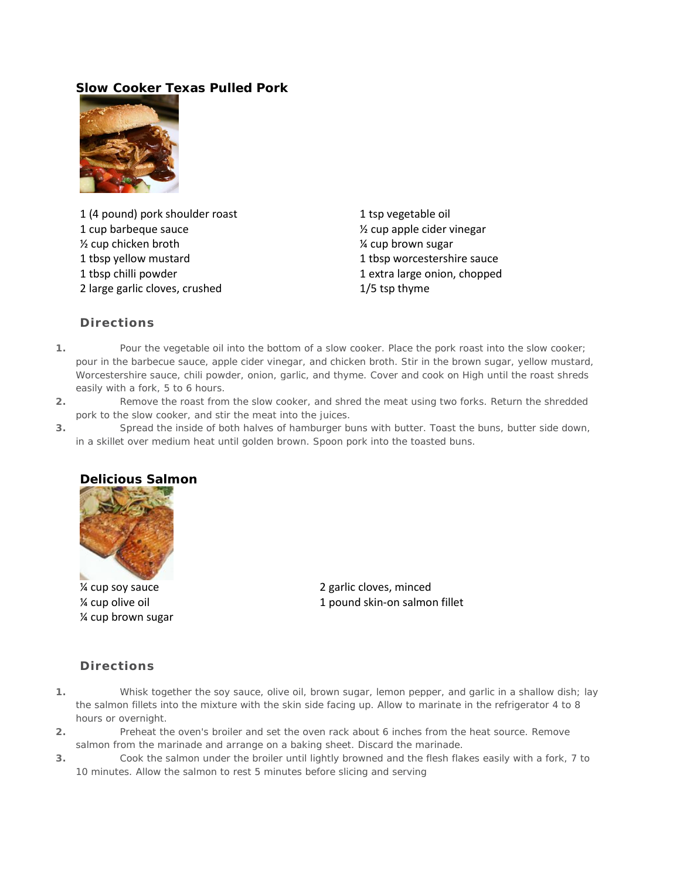## **Slow Cooker Texas Pulled Pork**



1 (4 pound) pork shoulder roast 1 tsp vegetable oil 1 cup barbeque sauce ½ cup apple cider vinegar % cup chicken broth  $\frac{1}{2}$  cup brown sugar 1 tbsp yellow mustard 1 tbsp worcestershire sauce 1 tbsp chilli powder 1 extra large onion, chopped 2 large garlic cloves, crushed 1/5 tsp thyme

### **Directions**

- **1.** Pour the vegetable oil into the bottom of a slow cooker. Place the pork roast into the slow cooker; pour in the barbecue sauce, apple cider vinegar, and chicken broth. Stir in the brown sugar, yellow mustard, Worcestershire sauce, chili powder, onion, garlic, and thyme. Cover and cook on High until the roast shreds easily with a fork, 5 to 6 hours.
- **2.** Remove the roast from the slow cooker, and shred the meat using two forks. Return the shredded pork to the slow cooker, and stir the meat into the juices.
- **3.** Spread the inside of both halves of hamburger buns with butter. Toast the buns, butter side down, in a skillet over medium heat until golden brown. Spoon pork into the toasted buns.



¼ cup brown sugar

¼ cup soy sauce 2 garlic cloves, minced % cup olive oil and the state of the 1 pound skin-on salmon fillet

- **1.** Whisk together the soy sauce, olive oil, brown sugar, lemon pepper, and garlic in a shallow dish; lay the salmon fillets into the mixture with the skin side facing up. Allow to marinate in the refrigerator 4 to 8 hours or overnight.
- **2.** Preheat the oven's broiler and set the oven rack about 6 inches from the heat source. Remove salmon from the marinade and arrange on a baking sheet. Discard the marinade.
- **3.** Cook the salmon under the broiler until lightly browned and the flesh flakes easily with a fork, 7 to 10 minutes. Allow the salmon to rest 5 minutes before slicing and serving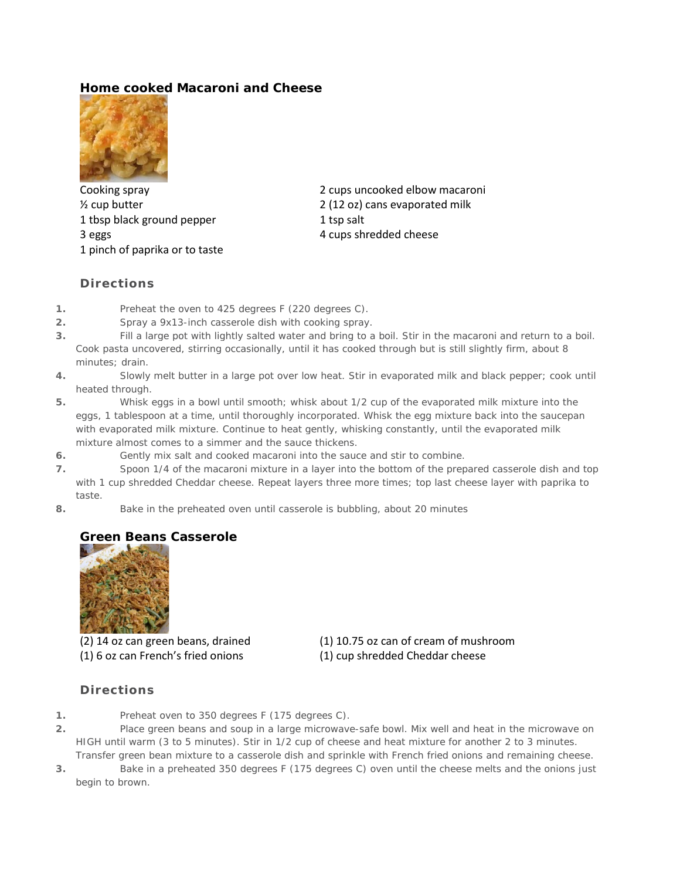## **Home cooked Macaroni and Cheese**



1 tbsp black ground pepper 1 tsp salt 3 eggs 4 cups shredded cheese 1 pinch of paprika or to taste

Cooking spray 2 cups uncooked elbow macaroni <sup>1/2</sup> cup butter 2 (12 oz) cans evaporated milk

### **Directions**

- **1.** Preheat the oven to 425 degrees F (220 degrees C).
- **2.** Spray a 9x13-inch casserole dish with cooking spray.
- **3.** Fill a large pot with lightly salted water and bring to a boil. Stir in the macaroni and return to a boil. Cook pasta uncovered, stirring occasionally, until it has cooked through but is still slightly firm, about 8 minutes; drain.
- **4.** Slowly melt butter in a large pot over low heat. Stir in evaporated milk and black pepper; cook until heated through.
- **5.** Whisk eggs in a bowl until smooth; whisk about 1/2 cup of the evaporated milk mixture into the eggs, 1 tablespoon at a time, until thoroughly incorporated. Whisk the egg mixture back into the saucepan with evaporated milk mixture. Continue to heat gently, whisking constantly, until the evaporated milk mixture almost comes to a simmer and the sauce thickens.
- **6.** Gently mix salt and cooked macaroni into the sauce and stir to combine.
- **7.** Spoon 1/4 of the macaroni mixture in a layer into the bottom of the prepared casserole dish and top with 1 cup shredded Cheddar cheese. Repeat layers three more times; top last cheese layer with paprika to taste.
- **8.** Bake in the preheated oven until casserole is bubbling, about 20 minutes

## **Green Beans Casserole**



(1) 6 oz can French's fried onions (1) cup shredded Cheddar cheese

(2) 14 oz can green beans, drained (1) 10.75 oz can of cream of mushroom

- **1.** Preheat oven to 350 degrees F (175 degrees C).
- **2.** Place green beans and soup in a large microwave-safe bowl. Mix well and heat in the microwave on HIGH until warm (3 to 5 minutes). Stir in 1/2 cup of cheese and heat mixture for another 2 to 3 minutes. Transfer green bean mixture to a casserole dish and sprinkle with French fried onions and remaining cheese.
- **3.** Bake in a preheated 350 degrees F (175 degrees C) oven until the cheese melts and the onions just begin to brown.